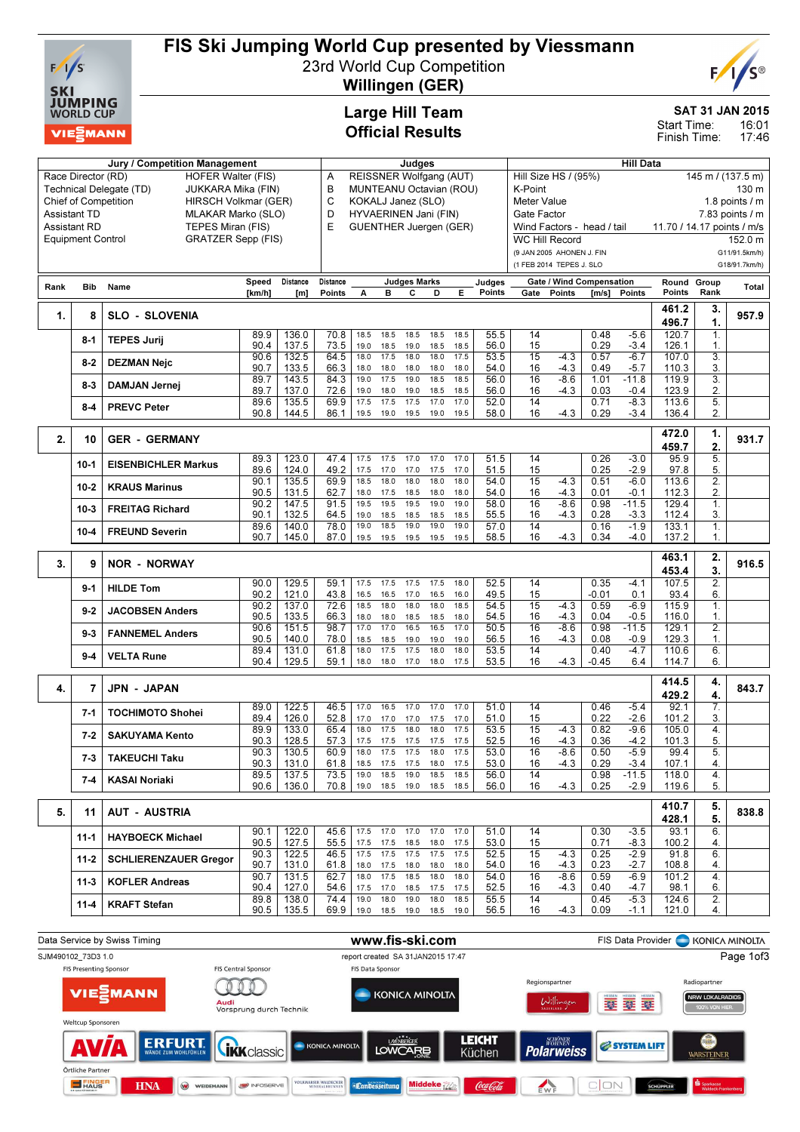

# FIS Ski Jumping World Cup presented by Viessmann

23rd World Cup Competition Willingen (GER)



SAT 31 JAN 2015

16:01 17:46 Start Time: Finish Time:

### Large Hill Team Official Results

| Jury / Competition Management                                                                    |                          |                              |              |                | Judges                       |                                                  |                           |                     |              |              | <b>Hill Data</b> |                                           |                  |                                 |                   |                            |                        |                     |  |
|--------------------------------------------------------------------------------------------------|--------------------------|------------------------------|--------------|----------------|------------------------------|--------------------------------------------------|---------------------------|---------------------|--------------|--------------|------------------|-------------------------------------------|------------------|---------------------------------|-------------------|----------------------------|------------------------|---------------------|--|
| <b>HOFER Walter (FIS)</b><br>Race Director (RD)                                                  |                          |                              |              |                | REISSNER Wolfgang (AUT)<br>Α |                                                  |                           |                     |              |              |                  | Hill Size HS / (95%)<br>145 m / (137.5 m) |                  |                                 |                   |                            |                        |                     |  |
| Technical Delegate (TD)<br>JUKKARA Mika (FIN)                                                    |                          |                              |              |                |                              | в<br>MUNTEANU Octavian (ROU)                     |                           |                     |              |              |                  |                                           | K-Point<br>130 m |                                 |                   |                            |                        |                     |  |
| <b>Chief of Competition</b><br>HIRSCH Volkmar (GER)<br><b>Assistant TD</b><br>MLAKAR Marko (SLO) |                          |                              |              |                |                              | C<br>KOKALJ Janez (SLO)<br>HYVAERINEN Jani (FIN) |                           |                     |              |              |                  | Meter Value<br>1.8 points $\sqrt{}$ m     |                  |                                 |                   |                            |                        |                     |  |
|                                                                                                  | <b>Assistant RD</b>      | TEPES Miran (FIS)            |              |                | D<br>E                       |                                                  |                           |                     |              |              |                  | Gate Factor                               |                  |                                 |                   |                            |                        | $7.83$ points $/ m$ |  |
|                                                                                                  | <b>Equipment Control</b> | <b>GRATZER Sepp (FIS)</b>    |              |                |                              | <b>GUENTHER Juergen (GER)</b>                    |                           |                     |              |              |                  | <b>WC Hill Record</b>                     |                  | Wind Factors - head / tail      |                   | 11.70 / 14.17 points / m/s |                        | 152.0 m             |  |
|                                                                                                  |                          |                              |              |                |                              |                                                  |                           |                     |              |              |                  | (9 JAN 2005 AHONEN J. FIN                 |                  |                                 |                   |                            |                        | G11/91.5km/h)       |  |
|                                                                                                  |                          |                              |              |                |                              |                                                  |                           |                     |              |              |                  | (1 FEB 2014 TEPES J. SLO                  |                  |                                 |                   |                            |                        | G18/91.7km/h)       |  |
|                                                                                                  |                          |                              | Speed        | Distance       | Distance                     |                                                  |                           | <b>Judges Marks</b> |              |              | Judges           |                                           |                  | <b>Gate / Wind Compensation</b> |                   | Round Group                |                        |                     |  |
| Rank                                                                                             | <b>Bib</b>               | Name                         | [km/h]       | [m]            | Points                       | A                                                | в                         | с                   | D            | Е            | Points           | Gate                                      | Points           | [m/s]                           | Points            | Points                     | Rank                   | Total               |  |
|                                                                                                  |                          |                              |              |                |                              |                                                  |                           |                     |              |              |                  |                                           |                  |                                 |                   | 461.2                      | 3.                     |                     |  |
| 1.                                                                                               | 8                        | <b>SLO - SLOVENIA</b>        |              |                |                              |                                                  |                           |                     |              |              |                  |                                           |                  |                                 |                   | 496.7                      | 1.                     | 957.9               |  |
|                                                                                                  | 8-1                      | <b>TEPES Jurij</b>           | 89.9         | 136.0          | 70.8                         | 18.5                                             | 18.5                      | 18.5                | 18.5         | 18.5         | 55.5             | 14                                        |                  | 0.48                            | $-5.6$            | 120.7                      | 1.                     |                     |  |
|                                                                                                  |                          |                              | 90.4<br>90.6 | 137.5          | 73.5                         | 19.0<br>18.0                                     | 18.5<br>17.5              | 19.0<br>18.0        | 18.5<br>18.0 | 18.5<br>17.5 | 56.0             | 15<br>15                                  | $-4.3$           | 0.29                            | $-3.4$            | 126.1                      | 1.<br>$\overline{3}$ . |                     |  |
|                                                                                                  | $8-2$                    | <b>DEZMAN Nejc</b>           | 90.7         | 132.5<br>133.5 | 64.5<br>66.3                 | 18.0                                             | 18.0                      | 18.0                | 18.0         | 18.0         | 53.5<br>54.0     | 16                                        | -4.3             | 0.57<br>0.49                    | $-6.7$<br>$-5.7$  | 107.0<br>110.3             | 3.                     |                     |  |
|                                                                                                  | $8-3$                    | <b>DAMJAN Jernej</b>         | 89.7         | 143.5          | 84.3                         | 19.0                                             | 17.5                      | 19.0                | 18.5         | 18.5         | 56.0             | 16                                        | $-8.6$           | 1.01                            | $-11.8$           | 119.9                      | 3.                     |                     |  |
|                                                                                                  |                          |                              | 89.7         | 137.0          | 72.6                         | 19.0                                             | 18.0                      | 19.0                | 18.5         | 18.5         | 56.0             | 16                                        | $-4.3$           | 0.03                            | $-0.4$            | 123.9                      | 2.                     |                     |  |
|                                                                                                  | $8 - 4$                  | <b>PREVC Peter</b>           | 89.6         | 135.5          | 69.9                         | 17.5                                             | 17.5                      | 17.5                | 17.0         | 17.0         | 52.0             | 14<br>16                                  | $-4.3$           | 0.71                            | $-8.3$            | 113.6                      | 5.<br>2.               |                     |  |
|                                                                                                  |                          |                              | 90.8         | 144.5          | 86.1                         | 19.5                                             | 19.0                      | 19.5                | 19.0         | 19.5         | 58.0             |                                           |                  | 0.29                            | $-3.4$            | 136.4                      |                        |                     |  |
| 2.                                                                                               | 10                       | <b>GER - GERMANY</b>         |              |                |                              |                                                  |                           |                     |              |              |                  |                                           |                  |                                 |                   | 472.0                      | 1.                     | 931.7               |  |
|                                                                                                  |                          |                              |              |                |                              |                                                  |                           |                     |              |              |                  |                                           |                  |                                 |                   | 459.7                      | $\overline{2}$         |                     |  |
|                                                                                                  | $10-1$                   | <b>EISENBICHLER Markus</b>   | 89.3<br>89.6 | 123.0<br>124.0 | 47.4<br>49.2                 | 17.5<br>17.5                                     | 17.5<br>17.0              | 17.0<br>17.0        | 17.0<br>17.5 | 17.0<br>17.0 | 51.5<br>51.5     | 14<br>15                                  |                  | 0.26<br>0.25                    | $-3.0$<br>$-2.9$  | 95.9<br>97.8               | $\overline{5}$ .<br>5. |                     |  |
|                                                                                                  |                          |                              | 90.1         | 135.5          | 69.9                         | 18.5                                             | 18.0                      | 18.0                | 18.0         | 18.0         | 54.0             | $\overline{15}$                           | $-4.3$           | 0.51                            | $-6.0$            | 113.6                      | $\overline{2}$ .       |                     |  |
|                                                                                                  | 10-2                     | <b>KRAUS Marinus</b>         | 90.5         | 131.5          | 62.7                         | 18.0                                             | 17.5                      | 18.5                | 18.0         | 18.0         | 54.0             | 16                                        | -4.3             | 0.01                            | $-0.1$            | 112.3                      | 2.                     |                     |  |
|                                                                                                  | $10-3$                   | <b>FREITAG Richard</b>       | 90.2<br>90.1 | 147.5<br>132.5 | 91.5<br>64.5                 | 19.5                                             | 19.5                      | 19.5                | 19.0         | 19.0<br>18.5 | 58.0<br>55.5     | 16<br>16                                  | $-8.6$<br>-4.3   | 0.98<br>0.28                    | $-11.5$<br>$-3.3$ | 129.4<br>112.4             | 1.<br>3.               |                     |  |
|                                                                                                  |                          |                              | 89.6         | 140.0          | 78.0                         | 19.0<br>19.0                                     | 18.5<br>18.5              | 18.5<br>19.0        | 18.5<br>19.0 | 19.0         | 57.0             | 14                                        |                  | 0.16                            | $-1.9$            | 133.1                      | $\overline{1}$ .       |                     |  |
|                                                                                                  | $10 - 4$                 | <b>FREUND Severin</b>        | 90.7         | 145.0          | 87.0                         | 19.5                                             | 19.5                      | 19.5                | 19.5         | 19.5         | 58.5             | 16                                        | $-4.3$           | 0.34                            | $-4.0$            | 137.2                      | 1.                     |                     |  |
|                                                                                                  |                          |                              |              |                |                              |                                                  |                           |                     |              |              |                  |                                           |                  |                                 |                   | 463.1                      | 2.                     |                     |  |
| 3.                                                                                               | 9                        | <b>NOR - NORWAY</b>          |              |                |                              |                                                  |                           |                     |              |              |                  |                                           |                  |                                 |                   | 453.4                      | 3.                     | 916.5               |  |
|                                                                                                  | $9-1$                    | <b>HILDE Tom</b>             | 90.0         | 129.5          | 59.1                         | 17.5                                             | 17.5                      | 17.5                | 17.5         | 18.0         | 52.5             | 14                                        |                  | 0.35                            | $-4.1$            | 107.5                      | 2.                     |                     |  |
|                                                                                                  |                          |                              | 90.2         | 121.0          | 43.8<br>72.6                 | 16.5                                             | 16.5                      | 17.0<br>18.0        | 16.5<br>18.0 | 16.0<br>18.5 | 49.5             | 15                                        |                  | -0.01                           | 0.1               | 93.4                       | 6.                     |                     |  |
|                                                                                                  | $9 - 2$                  | <b>JACOBSEN Anders</b>       | 90.2<br>90.5 | 137.0<br>133.5 | 66.3                         | 18.5<br>18.0                                     | 18.0<br>18.0              | 18.5                | 18.5         | 18.0         | 54.5<br>54.5     | 15<br>16                                  | $-4.3$<br>-4.3   | 0.59<br>0.04                    | $-6.9$<br>$-0.5$  | 115.9<br>116.0             | 1.<br>1.               |                     |  |
|                                                                                                  | $9 - 3$                  | <b>FANNEMEL Anders</b>       | 90.6         | 151.5          | 98.7                         | 17.0                                             | 17.0                      | 16.5                | 16.5         | 17.0         | 50.5             | 16                                        | $-8.6$           | 0.98                            | $-11.5$           | 129.1                      | $\overline{2}$ .       |                     |  |
|                                                                                                  |                          |                              | 90.5         | 140.0          | 78.0                         | 18.5                                             | 18.5                      | 19.0                | 19.0         | 19.0         | 56.5             | 16                                        | $-4.3$           | 0.08                            | $-0.9$            | 129.3                      | $\mathbf{1}$           |                     |  |
|                                                                                                  | 9-4                      | <b>VELTA Rune</b>            | 89.4<br>90.4 | 131.0<br>129.5 | 61.8<br>59.1                 | 18.0<br>18.0                                     | 17.5<br>18.0              | 17.5<br>17.0        | 18.0<br>18.0 | 18.0<br>17.5 | 53.5<br>53.5     | 14<br>16                                  | -4.3             | 0.40<br>-0.45                   | $-4.7$<br>6.4     | 110.6<br>114.7             | 6.<br>6.               |                     |  |
|                                                                                                  |                          |                              |              |                |                              |                                                  |                           |                     |              |              |                  |                                           |                  |                                 |                   |                            |                        |                     |  |
| 4.                                                                                               | 7                        | <b>JPN - JAPAN</b>           |              |                |                              |                                                  |                           |                     |              |              |                  |                                           |                  |                                 |                   | 414.5                      | 4.                     | 843.7               |  |
|                                                                                                  |                          |                              | 89.0         | 122.5          | 46.5                         | 17.0                                             | 16.5                      | 17.0                | 17.0         | 17.0         | 51.0             | 14                                        |                  | 0.46                            | $-5.4$            | 429.2<br>92.1              | 4.<br>7.               |                     |  |
|                                                                                                  | $7 - 1$                  | <b>TOCHIMOTO Shohei</b>      | 89.4         | 126.0          | 52.8                         | 17.0                                             | 17.0                      | 17.0                | 17.5         | 17.0         | 51.0             | 15                                        |                  | 0.22                            | $-2.6$            | 101.2                      | 3.                     |                     |  |
|                                                                                                  | $7 - 2$                  | <b>SAKUYAMA Kento</b>        | 89.9         | 133.0          | 65.4                         | 18.0                                             | 17.5                      | 18.0                | 18.0         | 17.5         | 53.5             | 15                                        | $-4.3$           | 0.82                            | $-9.6$            | 105.0                      | 4.                     |                     |  |
|                                                                                                  |                          |                              | 90.3         | 128.5<br>130.5 | 57.3                         | 17.5                                             | 17.5<br>$\overline{17.5}$ | 17.5<br>17.5        | 17.5<br>18.0 | 17.5<br>17.5 | 52.5             | 16                                        | $-4.3$           | 0.36                            | $-4.2$            | 101.3                      | 5.                     |                     |  |
|                                                                                                  | $7 - 3$                  | <b>TAKEUCHI Taku</b>         | 90.3<br>90.3 | 131.0          | 60.9<br>61.8                 | 18.0<br>18.5                                     | 17.5                      | 17.5                | 18.0         | 17.5         | 53.0<br>53.0     | 16<br>16                                  | $-8.6$<br>$-4.3$ | 0.50<br>0.29                    | $-5.9$<br>$-3.4$  | 99.4<br>107.1              | 5.<br>4.               |                     |  |
|                                                                                                  | 7-4                      | <b>KASAI Noriaki</b>         | 89.5         | 137.5          | 73.5                         | 19.0                                             | 18.5                      | 19.0                | 18.5         | 18.5         | 56.0             | 14                                        |                  | 0.98                            | $-11.5$           | 118.0                      | 4.                     |                     |  |
|                                                                                                  |                          |                              | 90.6         | 136.0          | 70.8                         |                                                  | 19.0  18.5  19.0          |                     | 18.5         | 18.5         | 56.0             | 16                                        | $-4.3$           | 0.25                            | $-2.9$            | 119.6                      | 5.                     |                     |  |
|                                                                                                  |                          |                              |              |                |                              |                                                  |                           |                     |              |              |                  |                                           |                  |                                 |                   | 410.7                      | 5.                     |                     |  |
| 5.                                                                                               | 11                       | <b>AUT - AUSTRIA</b>         |              |                |                              |                                                  |                           |                     |              |              |                  |                                           |                  |                                 |                   | 428.1                      | 5.                     | 838.8               |  |
|                                                                                                  | 11-1                     | <b>HAYBOECK Michael</b>      | 90.1         | 122.0          | 45.6                         | 17.5                                             | 17.0                      | 17.0                | 17.0         | 17.0         | 51.0             | 14                                        |                  | 0.30                            | $-3.5$            | 93.1                       | 6.                     |                     |  |
|                                                                                                  |                          |                              | 90.5         | 127.5          | 55.5                         | 17.5                                             | 17.5                      | 18.5                | 18.0<br>17.5 | 17.5         | 53.0             | 15                                        |                  | 0.71                            | -8.3              | 100.2                      | 4.                     |                     |  |
|                                                                                                  |                          |                              | 90.3         | 122.5          | 46.5                         | 17.5                                             | 17.5                      | 17.5                | 18.0         | 17.5<br>18.0 | 52.5<br>54.0     | 15<br>16                                  | $-4.3$<br>-4.3   | 0.25<br>0.23                    | $-2.9$<br>$-2.7$  | 91.8                       | 6.                     |                     |  |
|                                                                                                  | 11-2                     | <b>SCHLIERENZAUER Gregor</b> | 90.7         |                |                              |                                                  |                           |                     |              |              |                  |                                           |                  |                                 |                   |                            | 4.                     |                     |  |
|                                                                                                  |                          |                              | 90.7         | 131.0<br>131.5 | 61.8<br>62.7                 | 18.0<br>18.0                                     | 17.5<br>17.5              | 18.0<br>18.5        | 18.0         | 18.0         | 54.0             | 16                                        | $-8.6$           | 0.59                            | $-6.9$            | 108.8<br>101.2             | 4.                     |                     |  |
|                                                                                                  | 11-3                     | <b>KOFLER Andreas</b>        | 90.4         | 127.0          | 54.6                         | 17.5                                             | 17.0                      | 18.5                | 17.5         | 17.5         | 52.5             | 16                                        | -4.3             | 0.40                            | $-4.7$            | 98.1                       | 6.                     |                     |  |
|                                                                                                  | 11-4                     | <b>KRAFT Stefan</b>          | 89.8<br>90.5 | 138.0<br>135.5 | 74.4<br>69.9                 | 19.0                                             | 18.0<br>19.0 18.5 19.0    | 19.0                | 18.0<br>18.5 | 18.5<br>19.0 | 55.5<br>56.5     | 14<br>16                                  | -4.3             | 0.45<br>0.09                    | $-5.3$<br>-1.1    | 124.6<br>121.0             | 2.<br>4.               |                     |  |

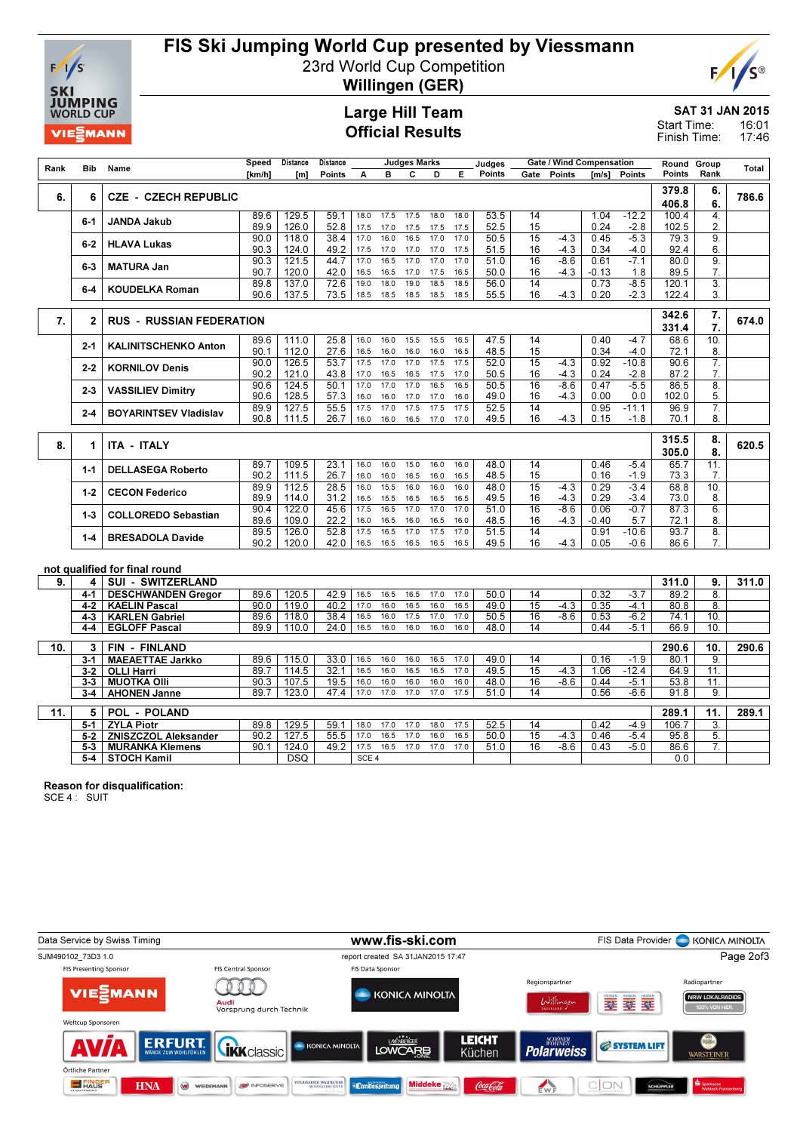

## FIS Ski Jumping World Cup presented by Viessmann

23rd World Cup Competition



Willingen (GER)

### Large Hill Team Official Results

SAT 31 JAN 2015 16:01 Start Time:

17:46 Finish Time:

|      |              |                                 | Speed        | Distance         | Distance      | <b>Judges Marks</b> |              |              |              |              | Judges       |                       | <b>Gate / Wind Compensation</b> |               |                   | Round          | Group                  |       |
|------|--------------|---------------------------------|--------------|------------------|---------------|---------------------|--------------|--------------|--------------|--------------|--------------|-----------------------|---------------------------------|---------------|-------------------|----------------|------------------------|-------|
| Rank | Bib          | Name                            | [km/h]       | [ <sub>m</sub> ] | <b>Points</b> | A                   | в            | c            | D            | Е            | Points       | Gate                  | <b>Points</b>                   | Im/s1         | Points            | Points         | Rank                   | Total |
| 6.   | 6            | <b>CZE - CZECH REPUBLIC</b>     |              |                  |               |                     |              |              |              |              |              |                       |                                 |               |                   | 379.8<br>406.8 | 6.<br>6.               | 786.6 |
|      | $6 - 1$      | <b>JANDA Jakub</b>              | 89.6<br>89.9 | 129.5<br>126.0   | 59.1<br>52.8  | 18.0<br>17.5        | 17.5<br>17.0 | 17.5<br>17.5 | 18.0<br>17.5 | 18.0<br>17.5 | 53.5<br>52.5 | 14<br>15              |                                 | 1.04<br>0.24  | $-12.2$<br>$-2.8$ | 100.4<br>102.5 | 4.<br>2.               |       |
|      | 6-2          | <b>HLAVA Lukas</b>              | 90.0<br>90.3 | 118.0<br>124.0   | 38.4<br>49.2  | 17.0<br>17.5        | 16.0<br>17.0 | 16.5<br>17.0 | 17.0<br>17.0 | 17.0<br>17.5 | 50.5<br>51.5 | 15<br>16              | $-4.3$<br>$-4.3$                | 0.45<br>0.34  | $-5.3$<br>$-4.0$  | 79.3<br>92.4   | 9.<br>6.               |       |
|      | 6-3          | <b>MATURA Jan</b>               | 90.3<br>90.7 | 121.5<br>120.0   | 44.7<br>42.0  | 17.0<br>16.5        | 16.5<br>16.5 | 17.0<br>17.0 | 17.0<br>17.5 | 17.0<br>16.5 | 51.0<br>50.0 | 16<br>16              | $-8.6$<br>$-4.3$                | 0.61<br>-0.13 | $-7.1$<br>1.8     | 80.0<br>89.5   | 9.<br>7.               |       |
|      | 6-4          | <b>KOUDELKA Roman</b>           | 89.8<br>90.6 | 137.0<br>137.5   | 72.6<br>73.5  | 19.0<br>18.5        | 18.0<br>18.5 | 19.0<br>18.5 | 18.5<br>18.5 | 18.5<br>18.5 | 56.0<br>55.5 | 14<br>16              | $-4.3$                          | 0.73<br>0.20  | $-8.5$<br>$-2.3$  | 120.1<br>122.4 | 3.<br>3.               |       |
| 7.   |              | <b>RUS - RUSSIAN FEDERATION</b> |              |                  |               |                     |              |              |              |              |              |                       |                                 |               |                   | 342.6          | 7.                     | 674.0 |
|      | $\mathbf{2}$ |                                 |              |                  |               |                     |              |              |              |              |              |                       |                                 |               |                   | 331.4          | 7.                     |       |
|      | 2-1          | <b>KALINITSCHENKO Anton</b>     | 89.6<br>90.1 | 111.0<br>112.0   | 25.8<br>27.6  | 16.0<br>16.5        | 16.0<br>16.0 | 15.5<br>16.0 | 15.5<br>16.0 | 16.5<br>16.5 | 47.5<br>48.5 | 14<br>15              |                                 | 0.40<br>0.34  | $-4.7$<br>$-4.0$  | 68.6<br>72.1   | 10.<br>8.              |       |
|      | 2-2          | <b>KORNILOV Denis</b>           | 90.0<br>90.2 | 126.5<br>121.0   | 53.7<br>43.8  | 17.5<br>17.0        | 17.0<br>16.5 | 17.0<br>16.5 | 17.5<br>17.5 | 17.5<br>17.0 | 52.0<br>50.5 | 15<br>16              | $-4.3$<br>-4.3                  | 0.92<br>0.24  | $-10.8$<br>$-2.8$ | 90.6<br>87.2   | $\overline{7}$ .<br>7. |       |
|      | 2-3          | <b>VASSILIEV Dimitry</b>        | 90.6<br>90.6 | 124.5<br>128.5   | 50.1<br>57.3  | 17.0<br>16.0        | 17.0<br>16.0 | 17.0<br>17.0 | 16.5<br>17.0 | 16.5<br>16.0 | 50.5<br>49.0 | $\overline{16}$<br>16 | $-8.6$<br>$-4.3$                | 0.47<br>0.00  | $-5.5$<br>0.0     | 86.5<br>102.0  | $\overline{8}$<br>5.   |       |
|      | 2-4          | <b>BOYARINTSEV Vladislav</b>    | 89.9<br>90.8 | 127.5<br>111.5   | 55.5<br>26.7  | 17.5<br>16.0        | 17.0<br>16.0 | 17.5<br>16.5 | 17.5<br>17.0 | 17.5<br>17.0 | 52.5<br>49.5 | 14<br>16              | $-4.3$                          | 0.95<br>0.15  | $-11.1$<br>$-1.8$ | 96.9<br>70.1   | 7.<br>8.               |       |
| 8.   | 1            | <b>ITA - ITALY</b>              |              |                  |               |                     |              |              |              |              |              |                       |                                 |               |                   | 315.5          | 8.                     | 620.5 |
|      |              |                                 |              |                  |               |                     |              |              |              |              |              |                       |                                 |               |                   | 305.0          | 8.                     |       |
|      | $1 - 1$      | <b>DELLASEGA Roberto</b>        | 89.7<br>90.2 | 109.5<br>111.5   | 23.1<br>26.7  | 16.0<br>16.0        | 16.0<br>16.0 | 15.0<br>16.5 | 16.0<br>16.0 | 16.0<br>16.5 | 48.0<br>48.5 | 14<br>15              |                                 | 0.46<br>0.16  | $-5.4$<br>$-1.9$  | 65.7<br>73.3   | 11.<br>7.              |       |
|      | $1-2$        | <b>CECON Federico</b>           | 89.9<br>89.9 | 112.5<br>114.0   | 28.5<br>31.2  | 16.0<br>16.5        | 15.5<br>15.5 | 16.0<br>16.5 | 16.0<br>16.5 | 16.0<br>16.5 | 48.0<br>49.5 | 15<br>16              | $-4.3$<br>-4.3                  | 0.29<br>0.29  | $-3.4$<br>$-3.4$  | 68.8<br>73.0   | 10.<br>8.              |       |
|      | $1 - 3$      | <b>COLLOREDO Sebastian</b>      | 90.4<br>89.6 | 122.0<br>109.0   | 45.6<br>22.2  | 17.5<br>16.0        | 16.5<br>16.5 | 17.0<br>16.0 | 17.0<br>16.5 | 17.0<br>16.0 | 51.0<br>48.5 | 16<br>16              | $-8.6$<br>$-4.3$                | 0.06<br>-0.40 | $-0.7$<br>5.7     | 87.3<br>72.1   | 6.<br>8.               |       |
|      | 1-4          | <b>BRESADOLA Davide</b>         | 89.5<br>90.2 | 126.0<br>120.0   | 52.8<br>42.0  | 17.5<br>16.5        | 16.5<br>16.5 | 17.0<br>16.5 | 17.5<br>16.5 | 17.0<br>16.5 | 51.5<br>49.5 | 14<br>16              | $-4.3$                          | 0.91<br>0.05  | $-10.6$<br>$-0.6$ | 93.7<br>86.6   | $\overline{8}$ .<br>7. |       |
|      |              | not qualified for final round   |              |                  |               |                     |              |              |              |              |              |                       |                                 |               |                   |                |                        |       |
| 9.   | 4            | <b>SUI - SWITZERLAND</b>        |              |                  |               |                     |              |              |              |              |              |                       |                                 |               |                   | 311.0          | 9.                     | 311.0 |
|      | 4-1          | <b>DESCHWANDEN Gregor</b>       | 89.6         | 120.5            | 42.9          | 16.5                | 16.5         | 16.5         | 17.0         | 17.0         | 50.0         | 14                    |                                 | 0.32          | $-3.7$            | 89.2           | 8.                     |       |
|      | 4-2          | <b>KAELIN Pascal</b>            | 90.0         | 119.0            | 40.2          | 17.0                | 16.0         | 16.5         | 16.0         | 16.5         | 49.0         | $\overline{15}$       | $-4.3$                          | 0.35          | $-4.1$            | 80.8           | 8.                     |       |
|      | $4 - 3$      | <b>KARLEN Gabriel</b>           | 89.6         | 118.0            | 38.4          | 16.5                | 16.0         | 17.5         | 17.0         | 17.0         | 50.5         | 16                    | $-8.6$                          | 0.53          | $-6.2$            | 74.1           | 10.                    |       |
|      | 4-4          | <b>EGLOFF Pascal</b>            | 89.9         | 110.0            | 24.0          | 16.5                | 16.0         | 16.0         | 16.0         | 16.0         | 48.0         | 14                    |                                 | 0.44          | $-5.1$            | 66.9           | 10.                    |       |
| 10.  | 3            | FIN - FINLAND                   |              |                  |               |                     |              |              |              |              |              |                       |                                 |               |                   | 290.6          | 10.                    | 290.6 |
|      | 3-1          | <b>MAEAETTAE Jarkko</b>         | 89.6         | 115.0            | 33.0          | 16.5                | 16.0         | 16.0         | 16.5         | 17.0         | 49.0         | 14                    |                                 | 0.16          | $-1.9$            | 80.1           | 9.                     |       |
|      | $3-2$        | <b>OLLI Harri</b>               | 89.7         | 114.5            | 32.1          | 16.5                | 16.0         | 16.5         | 16.5         | 17.0         | 49.5         | 15                    | $-4.3$                          | 1.06          | $-12.4$           | 64.9           | 11.                    |       |
|      | 3-3          | <b>MUOTKA OIII</b>              | 90.3         | 107.5            | 19.5          | 16.0                | 16.0         | 16.0         | 16.0         | 16.0         | 48.0         | 16                    | $-8.6$                          | 0.44          | $-5.1$            | 53.8           | 11.                    |       |
|      | $3-4$        | <b>AHONEN Janne</b>             | 89.7         | 123.0            | 47.4          | 17.0                | 17.0         | 17.0         | 17.0         | 17.5         | 51.0         | 14                    |                                 | 0.56          | $-6.6$            | 91.8           | 9.                     |       |
| 11.  | 5            | <b>POL - POLAND</b>             |              |                  |               |                     |              |              |              |              |              |                       |                                 |               |                   | 289.1          | 11.                    | 289.1 |
|      | 5-1          | <b>ZYLA Piotr</b>               | 89.8         | 129.5            | 59.1          | 18.0                | 17.0         | 17.0         | 18.0         | 17.5         | 52.5         | 14                    |                                 | 0.42          | $-4.9$            | 106.7          | $\overline{3}$ .       |       |
|      | $5-2$        | <b>ZNISZCZOL Aleksander</b>     | 90.2         | 127.5            | 55.5          | 17.0                | 16.5         | 17.0         | 16.0         | 16.5         | 50.0         | 15                    | -4.3                            | 0.46          | $-5.4$            | 95.8           | 5.                     |       |
|      | 5-3          | <b>MURANKA Klemens</b>          | 90.1         | 124.0            | 49.2          | 17.5                | 16.5         | 17.0         | 17.0         | 17.0         | 51.0         | 16                    | $-8.6$                          | 0.43          | $-5.0$            | 86.6           | $\overline{7}$ .       |       |
|      | 5-4          | STOCH Kamil                     |              | <b>DSQ</b>       |               | SCE <sub>4</sub>    |              |              |              |              |              |                       |                                 |               |                   | 0.0            |                        |       |

#### Reason for disqualification:

SCE 4 : SUIT